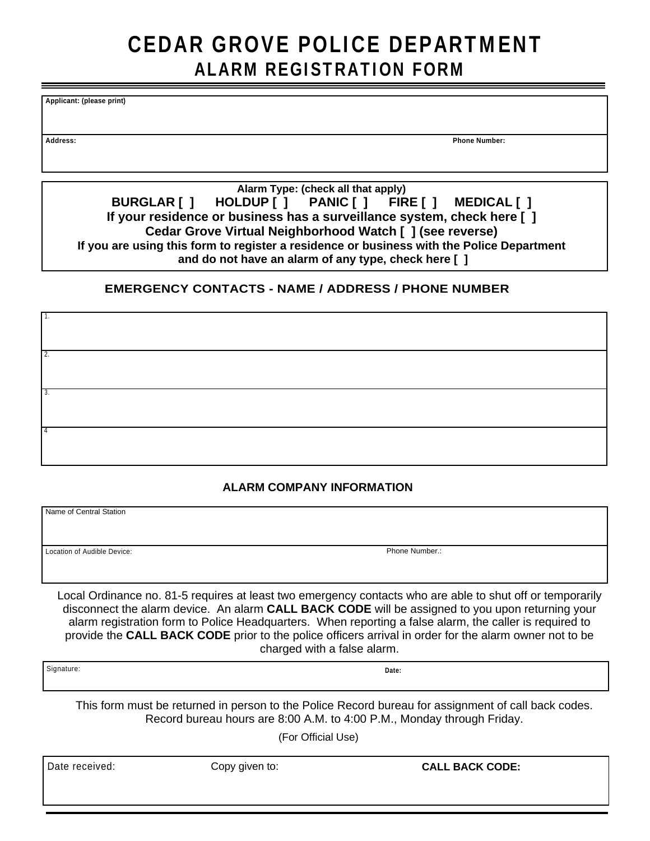## CEDAR GROVE POLICE DEPARTMENT ALARM REGISTRATION FORM

**Applicant: (please print)**

**Address: Phone Number:**

**Alarm Type: (check all that apply) BURGLAR [ ] HOLDUP [ ] PANIC [ ] FIRE [ ] MEDICAL [ ] If your residence or business has a surveillance system, check here [ ] Cedar Grove Virtual Neighborhood Watch [ ] (see reverse) If you are using this form to register a residence or business with the Police Department and do not have an alarm of any type, check here [ ]**

## **EMERGENCY CONTACTS - NAME / ADDRESS / PHONE NUMBER**

| $\overline{1}$ .          |  |  |
|---------------------------|--|--|
|                           |  |  |
| $\overline{\mathbf{2}}$ . |  |  |
|                           |  |  |
| 3.                        |  |  |
|                           |  |  |
| $\overline{4}$            |  |  |
|                           |  |  |

## **ALARM COMPANY INFORMATION**

Name of Central Station

Location of Audible Device: Phone Number.:

Local Ordinance no. 81-5 requires at least two emergency contacts who are able to shut off or temporarily disconnect the alarm device. An alarm **CALL BACK CODE** will be assigned to you upon returning your alarm registration form to Police Headquarters. When reporting a false alarm, the caller is required to provide the **CALL BACK CODE** prior to the police officers arrival in order for the alarm owner not to be charged with a false alarm.

Signature: **Date:**

This form must be returned in person to the Police Record bureau for assignment of call back codes. Record bureau hours are 8:00 A.M. to 4:00 P.M., Monday through Friday.

(For Official Use)

Date received: **Copy given to: CALL BACK CODE: CALL BACK CODE:**